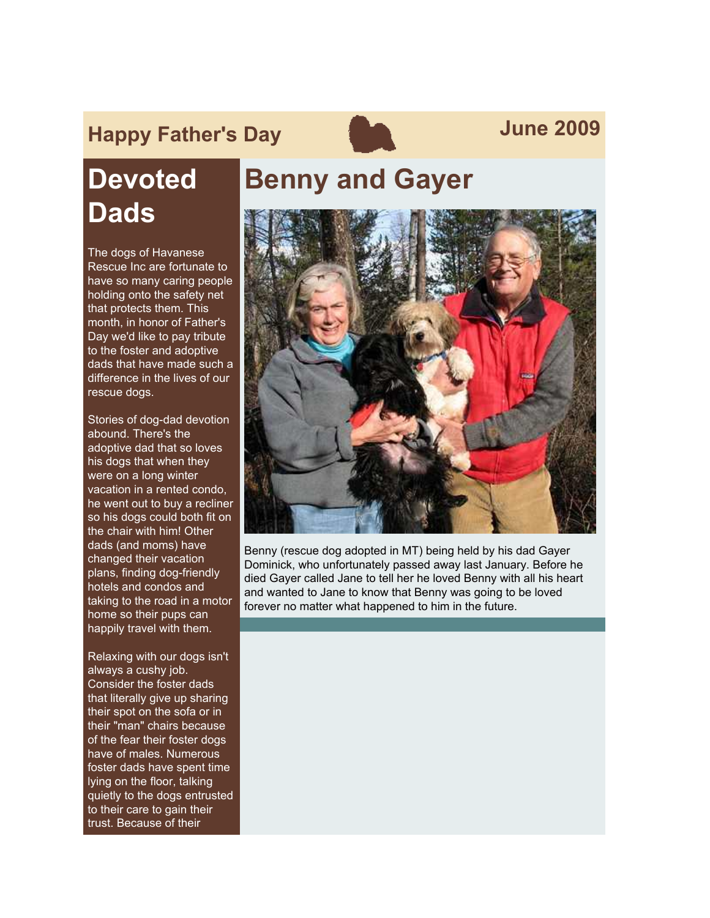# **Happy Father's Day Contract Service Service Service Service Service Service Service Service Service Service Service Service Service Service Service Service Service Service Service Service Service Service Service Service**



# **Devoted Dads**

The dogs of Havanese Rescue Inc are fortunate to have so many caring people holding onto the safety net that protects them. This month, in honor of Father's Day we'd like to pay tribute to the foster and adoptive dads that have made such a difference in the lives of our rescue dogs.

Stories of dog-dad devotion abound. There's the adoptive dad that so loves his dogs that when they were on a long winter vacation in a rented condo, he went out to buy a recliner so his dogs could both fit on the chair with him! Other dads (and moms) have changed their vacation plans, finding dog-friendly hotels and condos and taking to the road in a motor home so their pups can happily travel with them.

Relaxing with our dogs isn't always a cushy job. Consider the foster dads that literally give up sharing their spot on the sofa or in their "man" chairs because of the fear their foster dogs have of males. Numerous foster dads have spent time lying on the floor, talking quietly to the dogs entrusted to their care to gain their trust. Because of their

### **Benny and Gayer**



Benny (rescue dog adopted in MT) being held by his dad Gayer Dominick, who unfortunately passed away last January. Before he died Gayer called Jane to tell her he loved Benny with all his heart and wanted to Jane to know that Benny was going to be loved forever no matter what happened to him in the future.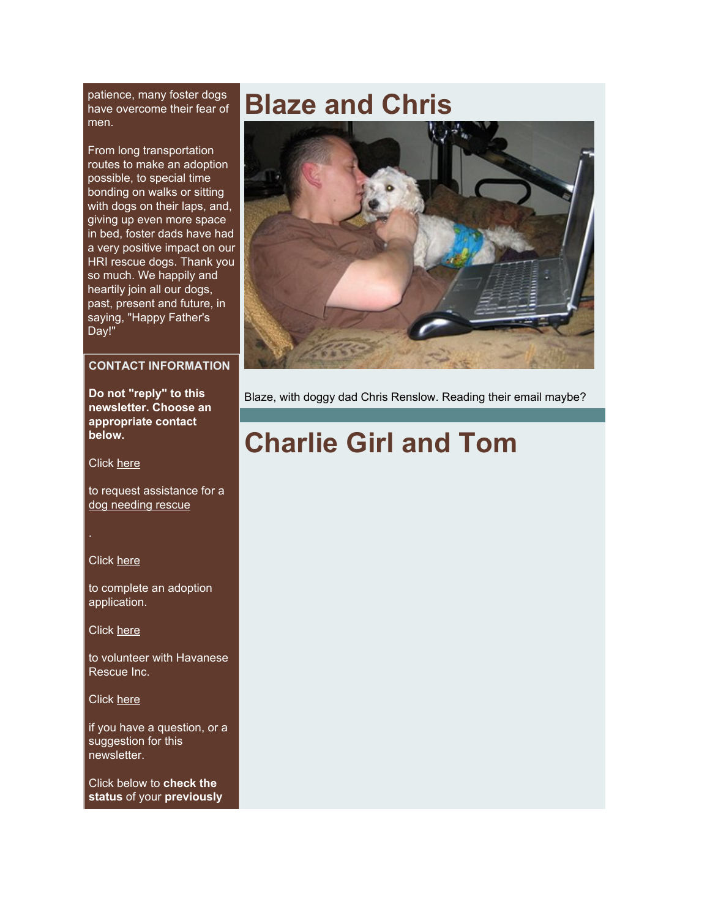patience, many foster dogs have overcome their fear of men.

From long transportation routes to make an adoption possible, to special time bonding on walks or sitting with dogs on their laps, and, giving up even more space in bed, foster dads have had a very positive impact on our HRI rescue dogs. Thank you so much. We happily and heartily join all our dogs, past, present and future, in saying, "Happy Father's Day!"

#### **CONTACT INFORMATION**

**Do not "reply" to this newsletter. Choose an appropriate contact below.**

Click [here](http://rs6.net/tn.jsp?et=1102612464015&s=2126&e=001DV44LctdrPPBRUrIaLzK0yDkluUw5yndVD846GW9L0IrMe2XHzcGzf5gcQ6NkuCku6-EX5o7fgxtGxwC_BrINXWbyHMbx_nVojJ58dP76HXDGjuqzViMEXO5vjlWF1i7i8Y96vLPooU=)

to request assistance for a [dog needing rescue](http://rs6.net/tn.jsp?et=1102612464015&s=2126&e=001DV44LctdrPPBRUrIaLzK0yDkluUw5yndVD846GW9L0IrMe2XHzcGzf5gcQ6NkuCku6-EX5o7fgxtGxwC_BrINXWbyHMbx_nVojJ58dP76HXDGjuqzViMEXO5vjlWF1i7i8Y96vLPooU=)

Click [here](http://rs6.net/tn.jsp?et=1102612464015&s=2126&e=001DV44LctdrPNjbxIdYLN-tmxuW3fwS5nOtXMUFQWVkVXLYOXND-LZ6t775JfMBR6PbYyoRJKlvfLl5dUfC5AJpSsWj74Bpcacw2BkiNLowi6ah5CvQR8m0hxfsiBMOXz4-FKcVAMgQcE=)

to complete an adoption application.

Click [here](http://rs6.net/tn.jsp?et=1102612464015&s=2126&e=001DV44LctdrPNQe6L5rn1cxYPK4mbW97Z8mI_w2BTYlRub6J-G1ET6tCV2vV22xN6fI0e5ybgECVl6y7iw9jLh8j1SA2qAwUn2ZOBQQRCFFRSsZOPA5L_VNDU1VcnYGGU8OAeLwhvC4KqaAVR5-FIPgfUxlYwhh-4U7fQEic14wV9WaUq7pmjHRSMqcLqPOvUL)

to volunteer with Havanese Rescue Inc.

Click [here](http://rs6.net/tn.jsp?et=1102612464015&s=2126&e=001DV44LctdrPP2Jjt6hj-xYI1cDj9DhghBtfm-tdIkBSep3wYhwh22Us7njkQsiwuUagSb8gi5P3xVHeK7plAKe3UtnSbI-I5UHg5p0uYMisy9GG_oPtmgCXSA-r67il23Qj5nJ3rFZt2LF9Upd-6ylAyzaHJtP22BleZD6EmI0aUt2ifxZ1u1ucmk8czsC9pF163K76ZFW9g2ksjl9vmlWdupkHbJoQWh)

if you have a question, or a suggestion for this newsletter.

Click below to **check the status** of your **previously**

### **Blaze and Chris**



Blaze, with doggy dad Chris Renslow. Reading their email maybe?

# **Charlie Girl and Tom**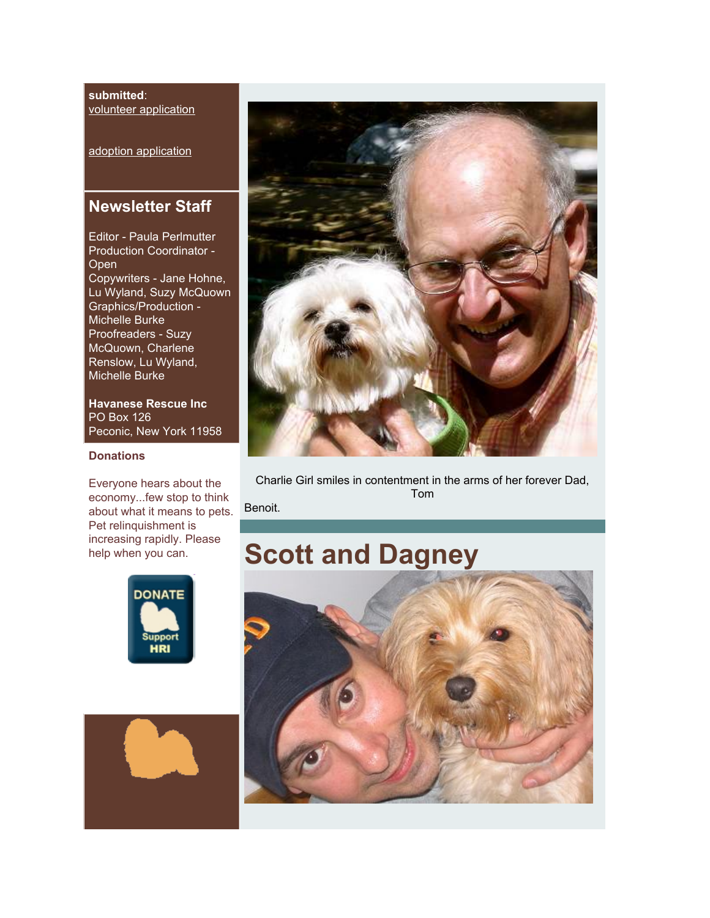#### **submitted**: [volunteer application](http://rs6.net/tn.jsp?et=1102612464015&s=2126&e=001DV44LctdrPMnJVVU_lO-gagHgM49dBpOF1rVn9tGt-QyVOa3Q-2oj1trE8d95tyfVHtXZ7badaLHXlpXf_-BM4RirCpF77I35oWkPUkQPVZ_z4RB555hJiRJJJIKoYmlPnrMcxUIKQucp17E9U040A3PniWpefOU48zNVvhiAiex6NEFnVF3hcMkm7vax4jfJ3PBFsVgplEl9A3BigaDs1ipyNRKWECxe190hWkABw-z84U9YUJdBbrA1UaEJSYDS_JsA9YrXc9Ku8VhLIQx-TvGH7mi1oGiJULetOdzcFbFI1JpFqRKEA==)

[adoption application](http://rs6.net/tn.jsp?et=1102612464015&s=2126&e=001DV44LctdrPPrgQ-93FkjHXBKLnLzxowvcZsjVmzvwu0xV-TiFEauyLbub9OggUCx0YW1W5pjE82klHBWcPhyMEfJmCpwuxu35YNmlnh-J6i9AOaBB4jyMU9O_0TtPyahQq3v04D7FQE=)

### **Newsletter Staff**

Editor - Paula Perlmutter Production Coordinator - **Open** Copywriters - Jane Hohne, Lu Wyland, Suzy McQuown Graphics/Production - Michelle Burke Proofreaders - Suzy McQuown, Charlene Renslow, Lu Wyland, Michelle Burke

**Havanese Rescue Inc** PO Box 126 Peconic, New York 11958

#### **Donations**

Everyone hears about the economy...few stop to think about what it means to pets. Pet relinquishment is increasing rapidly. Please help when you can.







Charlie Girl smiles in contentment in the arms of her forever Dad, Tom

Benoit.

## **Scott and Dagney**

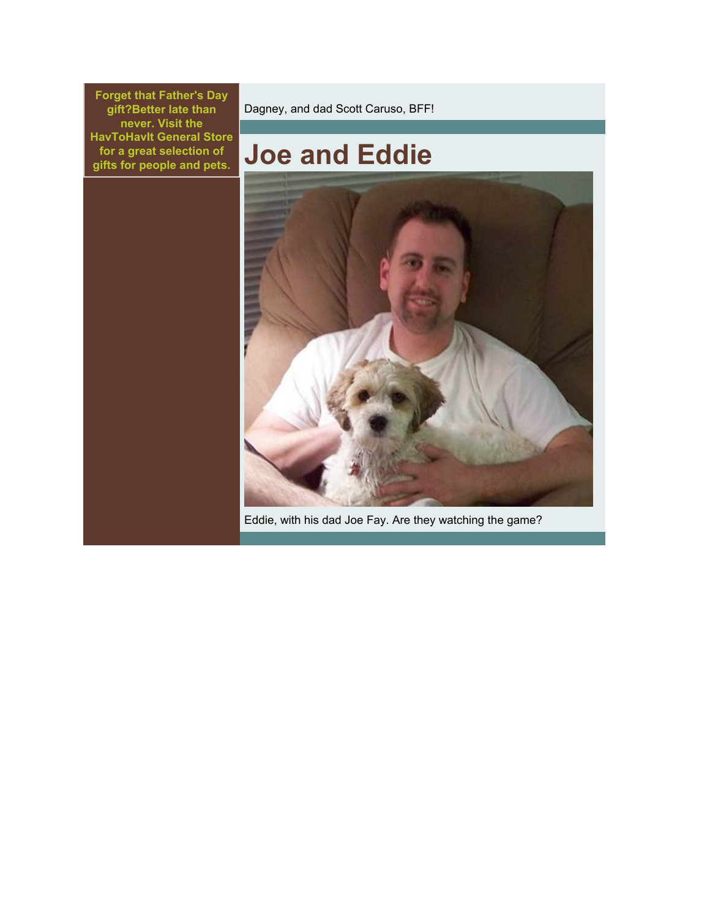**Forget that Father's Day gift?Better late than never. Visit the HavToHavIt General Store for a great selection of gifts for people and pets.**

Dagney, and dad Scott Caruso, BFF!

# **Joe and Eddie**



Eddie, with his dad Joe Fay. Are they watching the game?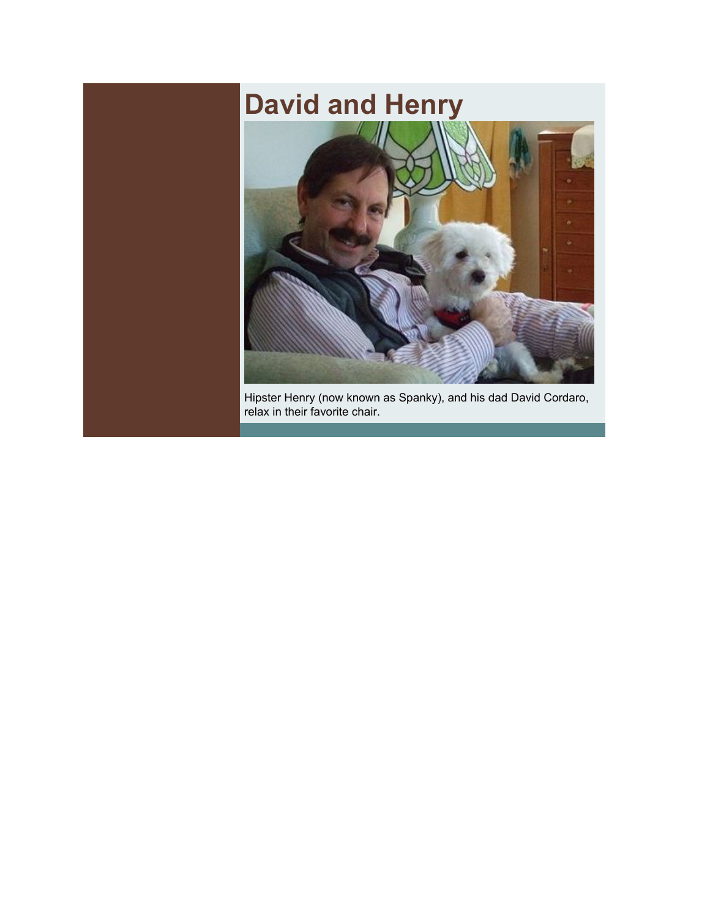# **David and Henry**



Hipster Henry (now known as Spanky), and his dad David Cordaro, relax in their favorite chair.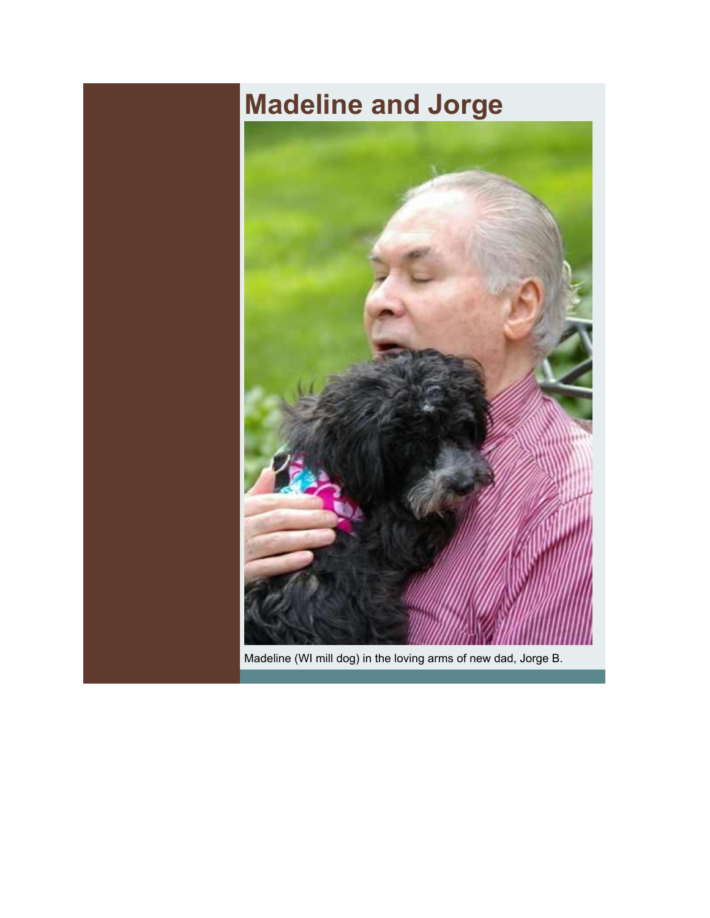# **Madeline and Jorge**



Madeline (WI mill dog) in the loving arms of new dad, Jorge B.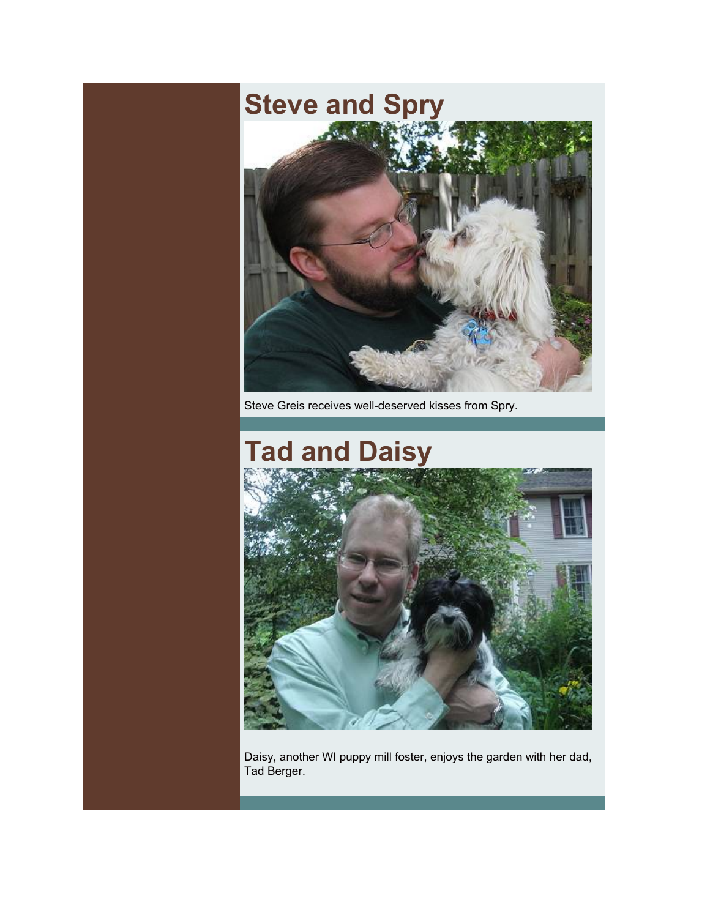# **Steve and Spry**



Steve Greis receives well-deserved kisses from Spry.

# **Tad and Daisy**



Daisy, another WI puppy mill foster, enjoys the garden with her dad, Tad Berger.